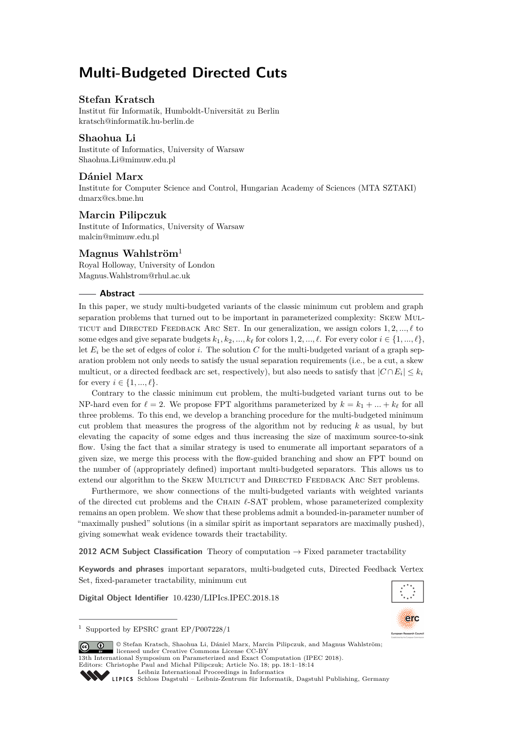# **Multi-Budgeted Directed Cuts**

# **Stefan Kratsch**

Institut für Informatik, Humboldt-Universität zu Berlin [kratsch@informatik.hu-berlin.de](mailto:kratsch@informatik.hu-berlin.de)

# **Shaohua Li**

Institute of Informatics, University of Warsaw [Shaohua.Li@mimuw.edu.pl](mailto:Shaohua.Li@mimuw.edu.pl)

# **Dániel Marx**

Institute for Computer Science and Control, Hungarian Academy of Sciences (MTA SZTAKI) [dmarx@cs.bme.hu](mailto:dmarx@cs.bme.hu)

# **Marcin Pilipczuk**

Institute of Informatics, University of Warsaw [malcin@mimuw.edu.pl](mailto:malcin@mimuw.edu.pl)

# **Magnus Wahlström**<sup>1</sup>

Royal Holloway, University of London [Magnus.Wahlstrom@rhul.ac.uk](mailto:Magnus.Wahlstrom@rhul.ac.uk)

## **Abstract**

In this paper, we study multi-budgeted variants of the classic minimum cut problem and graph separation problems that turned out to be important in parameterized complexity: Skew Mul-TICUT and DIRECTED FEEDBACK ARC SET. In our generalization, we assign colors  $1, 2, \ldots, \ell$  to some edges and give separate budgets  $k_1, k_2, ..., k_\ell$  for colors 1, 2, ...,  $\ell$ . For every color  $i \in \{1, ..., \ell\}$ , let  $E_i$  be the set of edges of color *i*. The solution C for the multi-budgeted variant of a graph separation problem not only needs to satisfy the usual separation requirements (i.e., be a cut, a skew multicut, or a directed feedback arc set, respectively), but also needs to satisfy that  $|C \cap E_i| \leq k_i$ for every  $i \in \{1, ..., \ell\}$ .

Contrary to the classic minimum cut problem, the multi-budgeted variant turns out to be NP-hard even for  $\ell = 2$ . We propose FPT algorithms parameterized by  $k = k_1 + ... + k_\ell$  for all three problems. To this end, we develop a branching procedure for the multi-budgeted minimum cut problem that measures the progress of the algorithm not by reducing *k* as usual, by but elevating the capacity of some edges and thus increasing the size of maximum source-to-sink flow. Using the fact that a similar strategy is used to enumerate all important separators of a given size, we merge this process with the flow-guided branching and show an FPT bound on the number of (appropriately defined) important multi-budgeted separators. This allows us to extend our algorithm to the SKEW MULTICUT and DIRECTED FEEDBACK ARC SET problems.

Furthermore, we show connections of the multi-budgeted variants with weighted variants of the directed cut problems and the CHAIN  $\ell$ -SAT problem, whose parameterized complexity remains an open problem. We show that these problems admit a bounded-in-parameter number of "maximally pushed" solutions (in a similar spirit as important separators are maximally pushed), giving somewhat weak evidence towards their tractability.

**2012 ACM Subject Classification** Theory of computation → Fixed parameter tractability

**Keywords and phrases** important separators, multi-budgeted cuts, Directed Feedback Vertex Set, fixed-parameter tractability, minimum cut

**Digital Object Identifier** [10.4230/LIPIcs.IPEC.2018.18](https://doi.org/10.4230/LIPIcs.IPEC.2018.18)



<sup>&</sup>lt;sup>1</sup> Supported by EPSRC grant EP/P007228/1



© Stefan Kratsch, Shaohua Li, Dániel Marx, Marcin Pilipczuk, and Magnus Wahlström; licensed under Creative Commons License CC-BY 13th International Symposium on Parameterized and Exact Computation (IPEC 2018).

Editors: Christophe Paul and Michał Pilipczuk; Article No. 18; pp. 18:1–18[:14](#page-13-0) [Leibniz International Proceedings in Informatics](http://www.dagstuhl.de/lipics/)

Leibniz International Froceedings in miormatics<br>
LIPICS [Schloss Dagstuhl – Leibniz-Zentrum für Informatik, Dagstuhl Publishing, Germany](http://www.dagstuhl.de)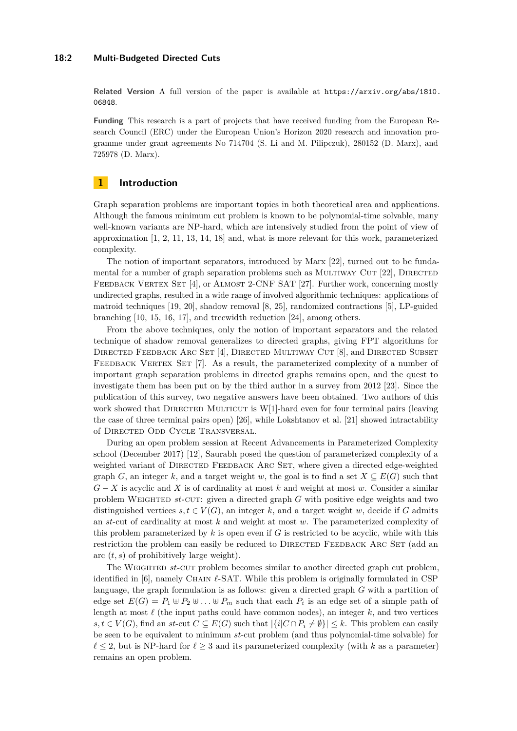#### **18:2 Multi-Budgeted Directed Cuts**

**Related Version** A full version of the paper is available at [https://arxiv.org/abs/1810.](https://arxiv.org/abs/1810.06848) [06848](https://arxiv.org/abs/1810.06848).

**Funding** This research is a part of projects that have received funding from the European Research Council (ERC) under the European Union's Horizon 2020 research and innovation programme under grant agreements No 714704 (S. Li and M. Pilipczuk), 280152 (D. Marx), and 725978 (D. Marx).

# **1 Introduction**

Graph separation problems are important topics in both theoretical area and applications. Although the famous minimum cut problem is known to be polynomial-time solvable, many well-known variants are NP-hard, which are intensively studied from the point of view of approximation [\[1,](#page-11-0) [2,](#page-11-1) [11,](#page-12-0) [13,](#page-12-1) [14,](#page-12-2) [18\]](#page-12-3) and, what is more relevant for this work, parameterized complexity.

The notion of important separators, introduced by Marx [\[22\]](#page-13-1), turned out to be funda-mental for a number of graph separation problems such as MULTIWAY CUT [\[22\]](#page-13-1), DIRECTED FEEDBACK VERTEX SET [\[4\]](#page-12-4), or ALMOST 2-CNF SAT [\[27\]](#page-13-2). Further work, concerning mostly undirected graphs, resulted in a wide range of involved algorithmic techniques: applications of matroid techniques [\[19,](#page-12-5) [20\]](#page-13-3), shadow removal [\[8,](#page-12-6) [25\]](#page-13-4), randomized contractions [\[5\]](#page-12-7), LP-guided branching [\[10,](#page-12-8) [15,](#page-12-9) [16,](#page-12-10) [17\]](#page-12-11), and treewidth reduction [\[24\]](#page-13-5), among others.

From the above techniques, only the notion of important separators and the related technique of shadow removal generalizes to directed graphs, giving FPT algorithms for DIRECTED FEEDBACK ARC SET [\[4\]](#page-12-4), DIRECTED MULTIWAY CUT [\[8\]](#page-12-6), and DIRECTED SUBSET FEEDBACK VERTEX SET [\[7\]](#page-12-12). As a result, the parameterized complexity of a number of important graph separation problems in directed graphs remains open, and the quest to investigate them has been put on by the third author in a survey from 2012 [\[23\]](#page-13-6). Since the publication of this survey, two negative answers have been obtained. Two authors of this work showed that DIRECTED MULTICUT is  $W[1]$ -hard even for four terminal pairs (leaving the case of three terminal pairs open) [\[26\]](#page-13-7), while Lokshtanov et al. [\[21\]](#page-13-8) showed intractability of Directed Odd Cycle Transversal.

During an open problem session at Recent Advancements in Parameterized Complexity school (December 2017) [\[12\]](#page-12-13), Saurabh posed the question of parameterized complexity of a weighted variant of DIRECTED FEEDBACK ARC SET, where given a directed edge-weighted graph *G*, an integer *k*, and a target weight *w*, the goal is to find a set  $X \subseteq E(G)$  such that *G* − *X* is acyclic and *X* is of cardinality at most *k* and weight at most *w*. Consider a similar problem WEIGHTED *st*-CUT: given a directed graph *G* with positive edge weights and two distinguished vertices  $s, t \in V(G)$ , an integer k, and a target weight w, decide if G admits an *st*-cut of cardinality at most *k* and weight at most *w*. The parameterized complexity of this problem parameterized by *k* is open even if *G* is restricted to be acyclic, while with this restriction the problem can easily be reduced to DIRECTED FEEDBACK ARC SET (add an arc (*t, s*) of prohibitively large weight).

The WEIGHTED *st*-CUT problem becomes similar to another directed graph cut problem, identified in  $[6]$ , namely CHAIN  $\ell$ -SAT. While this problem is originally formulated in CSP language, the graph formulation is as follows: given a directed graph *G* with a partition of edge set  $E(G) = P_1 \oplus P_2 \oplus \ldots \oplus P_m$  such that each  $P_i$  is an edge set of a simple path of length at most  $\ell$  (the input paths could have common nodes), an integer  $k$ , and two vertices *s, t* ∈ *V*(*G*), find an *st*-cut *C* ⊂ *E*(*G*) such that  $|\{i|C \cap P_i \neq \emptyset\}|$  ≤ *k*. This problem can easily be seen to be equivalent to minimum *st*-cut problem (and thus polynomial-time solvable) for  $\ell \leq 2$ , but is NP-hard for  $\ell \geq 3$  and its parameterized complexity (with *k* as a parameter) remains an open problem.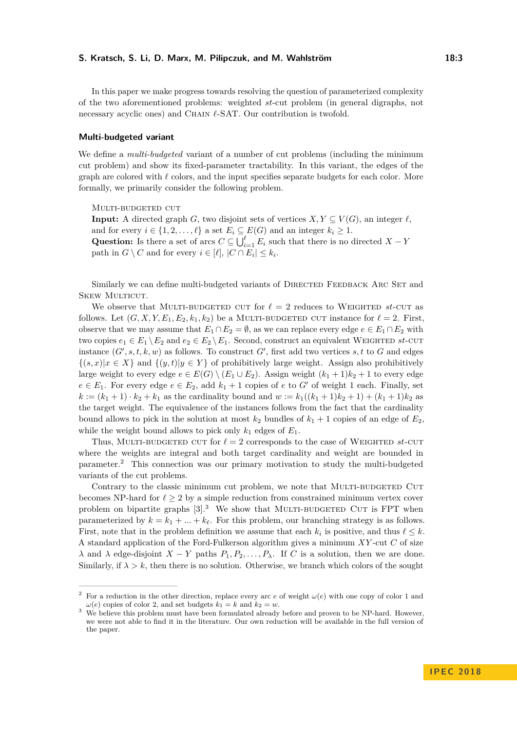In this paper we make progress towards resolving the question of parameterized complexity

of the two aforementioned problems: weighted *st*-cut problem (in general digraphs, not necessary acyclic ones) and CHAIN  $\ell$ -SAT. Our contribution is twofold.

## **Multi-budgeted variant**

We define a *multi-budgeted* variant of a number of cut problems (including the minimum cut problem) and show its fixed-parameter tractability. In this variant, the edges of the graph are colored with  $\ell$  colors, and the input specifies separate budgets for each color. More formally, we primarily consider the following problem.

MULTI-BUDGETED CUT

**Input:** A directed graph *G*, two disjoint sets of vertices  $X, Y \subseteq V(G)$ , an integer  $\ell$ , and for every  $i \in \{1, 2, \ldots, \ell\}$  a set  $E_i \subseteq E(G)$  and an integer  $k_i \geq 1$ . Question: Is there a set of arcs  $C \subseteq \bigcup_{i=1}^{\ell} E_i$  such that there is no directed  $X - Y$ path in  $G \setminus C$  and for every  $i \in [\ell], |C \cap E_i| \leq k_i$ .

Similarly we can define multi-budgeted variants of DIRECTED FEEDBACK ARC SET and SKEW MULTICUT.

We observe that MULTI-BUDGETED CUT for  $\ell = 2$  reduces to WEIGHTED st-CUT as follows. Let  $(G, X, Y, E_1, E_2, k_1, k_2)$  be a MULTI-BUDGETED CUT instance for  $\ell = 2$ . First, observe that we may assume that  $E_1 \cap E_2 = \emptyset$ , as we can replace every edge  $e \in E_1 \cap E_2$  with two copies  $e_1 \in E_1 \setminus E_2$  and  $e_2 \in E_2 \setminus E_1$ . Second, construct an equivalent WEIGHTED *st*-CUT instance  $(G', s, t, k, w)$  as follows. To construct  $G'$ , first add two vertices  $s, t$  to  $G$  and edges  $\{(s,x)|x \in X\}$  and  $\{(y,t)|y \in Y\}$  of prohibitively large weight. Assign also prohibitively large weight to every edge  $e \in E(G) \setminus (E_1 \cup E_2)$ . Assign weight  $(k_1 + 1)k_2 + 1$  to every edge  $e \in E_1$ . For every edge  $e \in E_2$ , add  $k_1 + 1$  copies of *e* to *G'* of weight 1 each. Finally, set  $k := (k_1 + 1) \cdot k_2 + k_1$  as the cardinality bound and  $w := k_1((k_1 + 1)k_2 + 1) + (k_1 + 1)k_2$  as the target weight. The equivalence of the instances follows from the fact that the cardinality bound allows to pick in the solution at most  $k_2$  bundles of  $k_1 + 1$  copies of an edge of  $E_2$ , while the weight bound allows to pick only  $k_1$  edges of  $E_1$ .

Thus, MULTI-BUDGETED CUT for  $\ell = 2$  corresponds to the case of WEIGHTED *st*-CUT where the weights are integral and both target cardinality and weight are bounded in parameter.[2](#page-2-0) This connection was our primary motivation to study the multi-budgeted variants of the cut problems.

Contrary to the classic minimum cut problem, we note that MULTI-BUDGETED CUT becomes NP-hard for  $\ell \geq 2$  by a simple reduction from constrained minimum vertex cover problem on bipartite graphs  $[3]^3$  $[3]^3$  $[3]^3$ . We show that MULTI-BUDGETED CUT is FPT when parameterized by  $k = k_1 + ... + k_\ell$ . For this problem, our branching strategy is as follows. First, note that in the problem definition we assume that each  $k_i$  is positive, and thus  $\ell \leq k$ . A standard application of the Ford-Fulkerson algorithm gives a minimum *XY* -cut *C* of size *λ* and *λ* edge-disjoint *X* − *Y* paths  $P_1, P_2, \ldots, P_\lambda$ . If *C* is a solution, then we are done. Similarly, if  $\lambda > k$ , then there is no solution. Otherwise, we branch which colors of the sought

<span id="page-2-0"></span><sup>&</sup>lt;sup>2</sup> For a reduction in the other direction, replace every arc  $e$  of weight  $\omega(e)$  with one copy of color 1 and  $\omega(e)$  copies of color 2, and set budgets  $k_1 = k$  and  $k_2 = w$ .

<span id="page-2-1"></span>We believe this problem must have been formulated already before and proven to be NP-hard. However, we were not able to find it in the literature. Our own reduction will be available in the full version of the paper.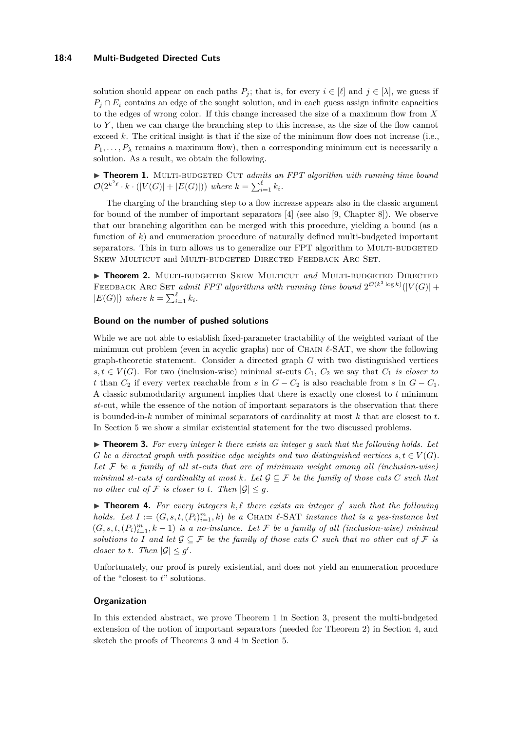#### **18:4 Multi-Budgeted Directed Cuts**

solution should appear on each paths  $P_i$ ; that is, for every  $i \in [\ell]$  and  $j \in [\lambda]$ , we guess if  $P_i \cap E_i$  contains an edge of the sought solution, and in each guess assign infinite capacities to the edges of wrong color. If this change increased the size of a maximum flow from *X* to *Y* , then we can charge the branching step to this increase, as the size of the flow cannot exceed  $k$ . The critical insight is that if the size of the minimum flow does not increase (i.e.,  $P_1, \ldots, P_\lambda$  remains a maximum flow), then a corresponding minimum cut is necessarily a solution. As a result, we obtain the following.

<span id="page-3-0"></span>▶ Theorem 1. MULTI-BUDGETED CUT *admits an FPT algorithm with running time bound*  $\mathcal{O}(2^{k^2\ell} \cdot k \cdot (|V(G)| + |E(G)|))$  where  $k = \sum_{i=1}^{\ell} k_i$ .

The charging of the branching step to a flow increase appears also in the classic argument for bound of the number of important separators [\[4\]](#page-12-4) (see also [\[9,](#page-12-15) Chapter 8]). We observe that our branching algorithm can be merged with this procedure, yielding a bound (as a function of *k*) and enumeration procedure of naturally defined multi-budgeted important separators. This in turn allows us to generalize our FPT algorithm to MULTI-BUDGETED Skew Multicut and Multi-budgeted Directed Feedback Arc Set.

<span id="page-3-1"></span>**Fieorem 2.** MULTI-BUDGETED SKEW MULTICUT and MULTI-BUDGETED DIRECTED FEEDBACK ARC SET *admit FPT algorithms with running time bound*  $2^{\mathcal{O}(k^3 \log k)}(|V(G)| +$  $|E(G)|$ ) where  $k = \sum_{i=1}^{\ell} k_i$ .

#### **Bound on the number of pushed solutions**

While we are not able to establish fixed-parameter tractability of the weighted variant of the minimum cut problem (even in acyclic graphs) nor of CHAIN  $\ell$ -SAT, we show the following graph-theoretic statement. Consider a directed graph *G* with two distinguished vertices  $s, t \in V(G)$ . For two (inclusion-wise) minimal *st*-cuts  $C_1$ ,  $C_2$  we say that  $C_1$  *is closer to t* than  $C_2$  if every vertex reachable from *s* in  $G - C_2$  is also reachable from *s* in  $G - C_1$ . A classic submodularity argument implies that there is exactly one closest to *t* minimum *st*-cut, while the essence of the notion of important separators is the observation that there is bounded-in-*k* number of minimal separators of cardinality at most *k* that are closest to *t*. In Section [5](#page-9-0) we show a similar existential statement for the two discussed problems.

<span id="page-3-2"></span> $\triangleright$  **Theorem 3.** For every integer  $k$  there exists an integer  $q$  such that the following holds. Let *G* be a directed graph with positive edge weights and two distinguished vertices  $s, t \in V(G)$ . *Let* F *be a family of all st-cuts that are of minimum weight among all (inclusion-wise) minimal st-cuts of cardinality at most*  $k$ *. Let*  $\mathcal{G} \subseteq \mathcal{F}$  *be the family of those cuts*  $C$  *such that no other cut of*  $\mathcal F$  *is closer to t. Then*  $|\mathcal G| \leq q$ *.* 

<span id="page-3-3"></span>**Theorem 4.** For every integers  $k, l$  there exists an integer  $g'$  such that the following *holds.* Let  $I := (G, s, t, (P_i)_{i=1}^m, k)$  be a CHAIN  $\ell$ -SAT *instance that is a yes-instance but*  $(G, s, t, (P_i)_{i=1}^m, k-1)$  *is a no-instance. Let*  $\mathcal F$  *be a family of all (inclusion-wise) minimal solutions to I* and let  $\mathcal{G} \subseteq \mathcal{F}$  *be the family of those cuts C such that no other cut of*  $\mathcal{F}$  *is closer to t.* Then  $|\mathcal{G}| \leq g'$ .

Unfortunately, our proof is purely existential, and does not yield an enumeration procedure of the "closest to *t*" solutions.

#### **Organization**

In this extended abstract, we prove Theorem [1](#page-3-0) in Section [3,](#page-4-0) present the multi-budgeted extension of the notion of important separators (needed for Theorem [2\)](#page-3-1) in Section [4,](#page-6-0) and sketch the proofs of Theorems [3](#page-3-2) and [4](#page-3-3) in Section [5.](#page-9-0)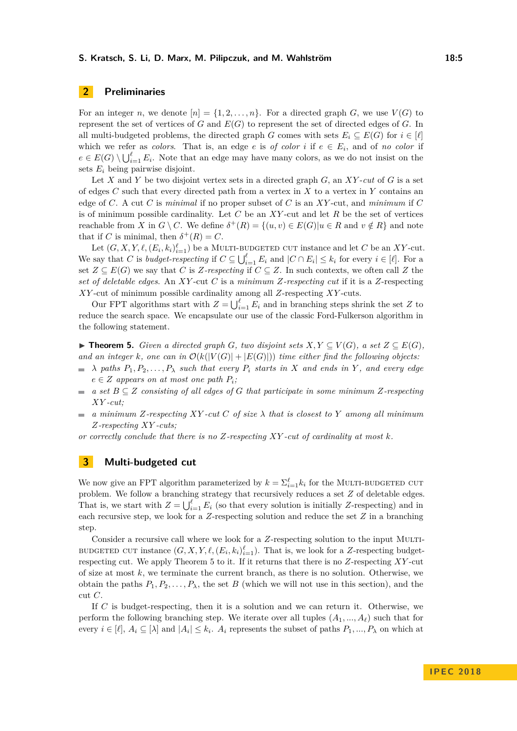# **2 Preliminaries**

For an integer *n*, we denote  $[n] = \{1, 2, \ldots, n\}$ . For a directed graph *G*, we use  $V(G)$  to represent the set of vertices of *G* and *E*(*G*) to represent the set of directed edges of *G*. In all multi-budgeted problems, the directed graph *G* comes with sets  $E_i \subseteq E(G)$  for  $i \in [\ell]$ which we refer as *colors*. That is, an edge *e* is *of color i* if  $e \in E_i$ , and of *no color* if  $e \in E(G) \setminus \bigcup_{i=1}^{\ell} E_i$ . Note that an edge may have many colors, as we do not insist on the sets *E<sup>i</sup>* being pairwise disjoint.

Let X and Y be two disjoint vertex sets in a directed graph  $G$ , an XY-cut of  $G$  is a set of edges *C* such that every directed path from a vertex in *X* to a vertex in *Y* contains an edge of *C*. A cut *C* is *minimal* if no proper subset of *C* is an *XY* -cut, and *minimum* if *C* is of minimum possible cardinality. Let *C* be an *XY* -cut and let *R* be the set of vertices reachable from *X* in  $G \setminus C$ . We define  $\delta^+(R) = \{(u, v) \in E(G) | u \in R \text{ and } v \notin R\}$  and note that if *C* is minimal, then  $\delta^+(R) = C$ .

Let  $(G, X, Y, \ell, (E_i, k_i)_{i=1}^{\ell})$  be a MULTI-BUDGETED CUT instance and let *C* be an *XY*-cut. We say that *C* is *budget-respecting* if  $C \subseteq \bigcup_{i=1}^{\ell} E_i$  and  $|C \cap E_i| \leq k_i$  for every  $i \in [\ell]$ . For a set  $Z \subseteq E(G)$  we say that *C* is *Z*-respecting if  $C \subseteq Z$ . In such contexts, we often call *Z* the *set of deletable edges*. An *XY* -cut *C* is a *minimum Z-respecting cut* if it is a *Z*-respecting *XY* -cut of minimum possible cardinality among all *Z*-respecting *XY* -cuts.

Our FPT algorithms start with  $Z = \bigcup_{i=1}^{\ell} E_i$  and in branching steps shrink the set *Z* to reduce the search space. We encapsulate our use of the classic Ford-Fulkerson algorithm in the following statement.

<span id="page-4-1"></span>▶ **Theorem 5.** *Given a directed graph G*, two disjoint sets  $X, Y \subseteq V(G)$ , a set  $Z \subseteq E(G)$ , and an integer *k*, one can in  $\mathcal{O}(k(|V(G)| + |E(G)|))$  time either find the following objects:

- $\lambda$  *paths*  $P_1, P_2, \ldots, P_\lambda$  *such that every*  $P_i$  *starts in X and ends in Y*, *and every edge*  $\sim$  $e \in Z$  *appears on at most one path*  $P_i$ ;
- *a* set  $B ⊂ Z$  consisting of all edges of  $G$  that participate in some minimum  $Z$ -respecting  $\blacksquare$ *XY -cut;*
- *a minimum Z-respecting XY -cut C of size λ that is closest to Y among all minimum*  $\sim$ *Z-respecting XY -cuts;*

*or correctly conclude that there is no Z-respecting XY -cut of cardinality at most k.*

# <span id="page-4-0"></span>**3 Multi-budgeted cut**

We now give an FPT algorithm parameterized by  $k = \sum_{i=1}^{\ell} k_i$  for the MULTI-BUDGETED CUT problem. We follow a branching strategy that recursively reduces a set *Z* of deletable edges. That is, we start with  $Z = \bigcup_{i=1}^{\ell} E_i$  (so that every solution is initially *Z*-respecting) and in each recursive step, we look for a *Z*-respecting solution and reduce the set *Z* in a branching step.

Consider a recursive call where we look for a *Z*-respecting solution to the input MULTI-BUDGETED CUT instance  $(G, X, Y, \ell, (E_i, k_i)_{i=1}^{\ell})$ . That is, we look for a *Z*-respecting budgetrespecting cut. We apply Theorem [5](#page-4-1) to it. If it returns that there is no *Z*-respecting *XY* -cut of size at most *k*, we terminate the current branch, as there is no solution. Otherwise, we obtain the paths  $P_1, P_2, \ldots, P_\lambda$ , the set *B* (which we will not use in this section), and the cut *C*.

If *C* is budget-respecting, then it is a solution and we can return it. Otherwise, we perform the following branching step. We iterate over all tuples  $(A_1, ..., A_\ell)$  such that for every  $i \in [\ell], A_i \subseteq [\lambda]$  and  $|A_i| \leq k_i$ .  $A_i$  represents the subset of paths  $P_1, ..., P_\lambda$  on which at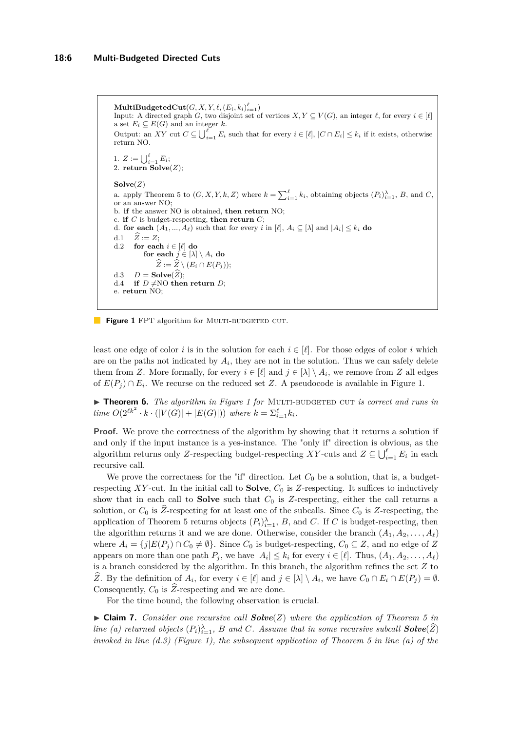```
\mathbf{MultiBudgetedCut}(G, X, Y, \ell, (E_i, k_i)_{i=1}^{\ell})Input: A directed graph G, two disjoint set of vertices X, Y \subseteq V(G), an integer \ell, for every i \in [\ell]a set E_i \subseteq E(G) and an integer k.
Output: an XY cut C \subseteq \bigcup_{i=1}^{\ell} E_i such that for every i \in [\ell], |C \cap E_i| \leq k_i if it exists, otherwise
return NO.
1. Z := \bigcup_{i=1}^{\ell} E_i;2. return Solve(Z);Solve(Z)
 5 to (G, X, Y, k, Z) where k = \sum_{i=1}^{\ell} k_i, obtaining objects (P_i)_{i=1}^{\lambda}, B, and C,
or an answer NO;
b. if the answer NO is obtained, then return NO;
c. if C is budget-respecting, then return C;
d. for each (A_1, ..., A_\ell) such that for every i in [\ell], A_i \subseteq [\lambda] and |A_i| \leq k_i do
d.1 \hat{Z} := Z;<br>d.2 for each
        for each i \in [\ell] do
            for each j \in [\lambda] \setminus A_i do
     \widehat{Z} := \widehat{Z} \setminus (E_i \cap E(P_j)); \ D = \textbf{Solve}(\widehat{Z});d.3 D = \textbf{Solve}(Z);<br>d.4 if D \neq \text{NO} then return D;
e. return NO;
```
**Figure 1** FPT algorithm for MULTI-BUDGETED CUT.

least one edge of color *i* is in the solution for each  $i \in [\ell]$ . For those edges of color *i* which are on the paths not indicated by  $A_i$ , they are not in the solution. Thus we can safely delete them from *Z*. More formally, for every  $i \in [\ell]$  and  $j \in [\lambda] \setminus A_i$ , we remove from *Z* all edges of  $E(P_j) \cap E_i$ . We recurse on the reduced set *Z*. A pseudocode is available in Figure [1.](#page-5-0)

▶ **Theorem 6.** *The algorithm in Figure [1](#page-5-0) for* MULTI-BUDGETED CUT *is correct and runs in time*  $O(2^{\ell k^2} \cdot k \cdot (|V(G)| + |E(G)|))$  *where*  $k = \sum_{i=1}^{\ell} k_i$ *.* 

**Proof.** We prove the correctness of the algorithm by showing that it returns a solution if and only if the input instance is a yes-instance. The "only if" direction is obvious, as the algorithm returns only *Z*-respecting budget-respecting *XY*-cuts and  $Z \subseteq \bigcup_{i=1}^{\ell} E_i$  in each recursive call.

We prove the correctness for the "if" direction. Let  $C_0$  be a solution, that is, a budgetrespecting  $XY$ -cut. In the initial call to **Solve**,  $C_0$  is  $Z$ -respecting. It suffices to inductively show that in each call to **Solve** such that  $C_0$  is Z-respecting, either the call returns a solution, or  $C_0$  is  $\hat{Z}$ -respecting for at least one of the subcalls. Since  $C_0$  is  $Z$ -respecting, the application of Theorem [5](#page-4-1) returns objects  $(P_i)_{i=1}^{\lambda}, B$ , and *C*. If *C* is budget-respecting, then the algorithm returns it and we are done. Otherwise, consider the branch  $(A_1, A_2, \ldots, A_\ell)$ where  $A_i = \{j | E(P_i) \cap C_0 \neq \emptyset\}$ . Since  $C_0$  is budget-respecting,  $C_0 \subseteq Z$ , and no edge of *Z* appears on more than one path  $P_j$ , we have  $|A_i| \leq k_i$  for every  $i \in [\ell]$ . Thus,  $(A_1, A_2, \ldots, A_\ell)$ is a branch considered by the algorithm. In this branch, the algorithm refines the set *Z* to *Z*. By the definition of  $A_i$ , for every  $i \in [\ell]$  and  $j \in [\lambda] \setminus A_i$ , we have  $C_0 \cap E_i \cap E(P_j) = \emptyset$ . Consequently,  $C_0$  is  $\widehat{Z}$ -respecting and we are done.

For the time bound, the following observation is crucial.

<span id="page-5-1"></span> $\triangleright$  **Claim 7.** *Consider one recursive call Solve(<i>Z*) *where the application of Theorem [5](#page-4-1) in line (a) returned objects*  $(P_i)_{i=1}^{\lambda}$ , *B and C. Assume that in some recursive subcall*  $Solve(\hat{Z})$ *invoked in line (d.3) (Figure [1\)](#page-5-0), the subsequent application of Theorem [5](#page-4-1) in line (a) of the*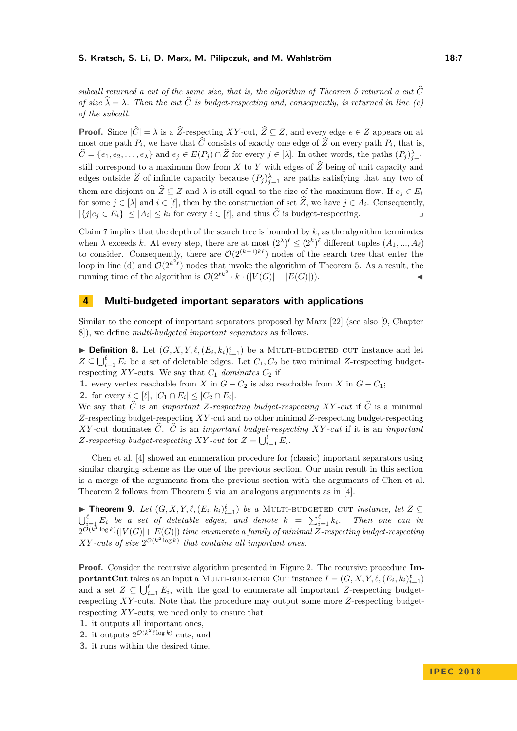*subcall returned a cut of the same size, that is, the algorithm of Theorem [5](#page-4-1) returned a cut*  $\widehat{C}$ *of size*  $\hat{\lambda} = \lambda$ . Then the cut  $\hat{C}$  *is budget-respecting and, consequently, is returned in line (c) of the subcall.*

**Proof.** Since  $|\widehat{C}| = \lambda$  is a  $\widehat{Z}$ -respecting *XY*-cut,  $\widehat{Z} \subseteq Z$ , and every edge  $e \in Z$  appears on at most one path  $P_i$ , we have that *C* consists of exactly one edge of *Z* on every path  $P_i$ , that is,  $\widehat{C} = \{e_1, e_2, \ldots, e_{\lambda}\}\$ and  $e_j \in E(P_j) \cap \widehat{Z}$  for every  $j \in [\lambda]$ . In other words, the paths  $(P_j)_{j=1}^{\lambda}$ still correspond to a maximum flow from  $X$  to  $Y$  with edges of  $\widehat{Z}$  being of unit capacity and edges outside  $\widehat{Z}$  of infinite capacity because  $(P_j)_{j=1}^{\lambda}$  are paths satisfying that any two of them are disjoint on  $\hat{Z} \subseteq Z$  and  $\lambda$  is still equal to the size of the maximum flow. If  $e_i \in E_i$ for some  $j \in [\lambda]$  and  $i \in [\ell]$ , then by the construction of set *Z*, we have  $j \in A_i$ . Consequently,  $|\{j|e_j \in E_i\}| \leq |A_i| \leq k_i$  for every  $i \in [\ell]$ , and thus  $\widehat{C}$  is budget-respecting.

Claim [7](#page-5-1) implies that the depth of the search tree is bounded by *k*, as the algorithm terminates when  $\lambda$  exceeds  $k$ . At every step, there are at most  $(2^{\lambda})^{\ell} \leq (2^k)^{\ell}$  different tuples  $(A_1, ..., A_{\ell})$ to consider. Consequently, there are  $\mathcal{O}(2^{(k-1)k\ell})$  nodes of the search tree that enter the loop in line (d) and  $\mathcal{O}(2^{k^2\ell})$  nodes that invoke the algorithm of Theorem [5.](#page-4-1) As a result, the running time of the algorithm is  $\mathcal{O}(2^{\ell k^2} \cdot k \cdot (|V(G)| + |E(G)|)).$ 

# <span id="page-6-0"></span>**4 Multi-budgeted important separators with applications**

Similar to the concept of important separators proposed by Marx [\[22\]](#page-13-1) (see also [\[9,](#page-12-15) Chapter 8]), we define *multi-budgeted important separators* as follows.

**Definition 8.** Let  $(G, X, Y, \ell, (E_i, k_i)_{i=1}^{\ell})$  be a MULTI-BUDGETED CUT instance and let  $Z \subseteq \bigcup_{i=1}^{\ell} E_i$  be a set of deletable edges. Let  $C_1, C_2$  be two minimal *Z*-respecting budgetrespecting  $XY$ -cuts. We say that  $C_1$  *dominates*  $C_2$  if

**1.** every vertex reachable from *X* in  $G - C_2$  is also reachable from *X* in  $G - C_1$ ;

**2.** for every  $i \in [\ell], |C_1 \cap E_i| \leq |C_2 \cap E_i|$ .

We say that  $\hat{C}$  is an *important Z-respecting budget-respecting XY-cut* if  $\hat{C}$  is a minimal *Z*-respecting budget-respecting *XY* -cut and no other minimal *Z*-respecting budget-respecting *XY* -cut dominates  $\hat{C}$ .  $\hat{C}$  is an *important budget-respecting XY* -*cut* if it is an *important Z*-respecting budget-respecting *XY* - *cut* for  $Z = \bigcup_{i=1}^{\ell} E_i$ .

Chen et al. [\[4\]](#page-12-4) showed an enumeration procedure for (classic) important separators using similar charging scheme as the one of the previous section. Our main result in this section is a merge of the arguments from the previous section with the arguments of Chen et al. Theorem [2](#page-3-1) follows from Theorem [9](#page-6-1) via an analogous arguments as in [\[4\]](#page-12-4).

<span id="page-6-1"></span>▶ **Theorem 9.** *Let*  $(G, X, Y, \ell, (E_i, k_i)_{i=1}^{\ell})$  *be a* MULTI-BUDGETED CUT *instance, let*  $Z \subseteq$  $\bigcup_{i=1}^{\ell} E_i$  *be a set of deletable edges, and denote*  $k$  =  $\sum_{i=1}^{\ell} k_i$ *. Then one can in*  $2^{\mathcal{O}(k^2\log k)}(|V(G)|+|E(G)|)$  *time enumerate a family of minimal Z*-respecting budget-respecting *XY -cuts of size*  $2^{\mathcal{O}(k^2 \log k)}$  *that contains all important ones.* 

**Proof.** Consider the recursive algorithm presented in Figure [2.](#page-8-0) The recursive procedure **ImportantCut** takes as an input a MULTI-BUDGETED CUT instance  $I = (G, X, Y, \ell, (E_i, k_i)_{i=1}^{\ell})$ and a set  $Z \subseteq \bigcup_{i=1}^{\ell} E_i$ , with the goal to enumerate all important *Z*-respecting budgetrespecting *XY* -cuts. Note that the procedure may output some more *Z*-respecting budgetrespecting *XY* -cuts; we need only to ensure that

- **1.** it outputs all important ones,
- **2.** it outputs  $2^{\mathcal{O}(k^2\ell \log k)}$  cuts, and
- **3.** it runs within the desired time.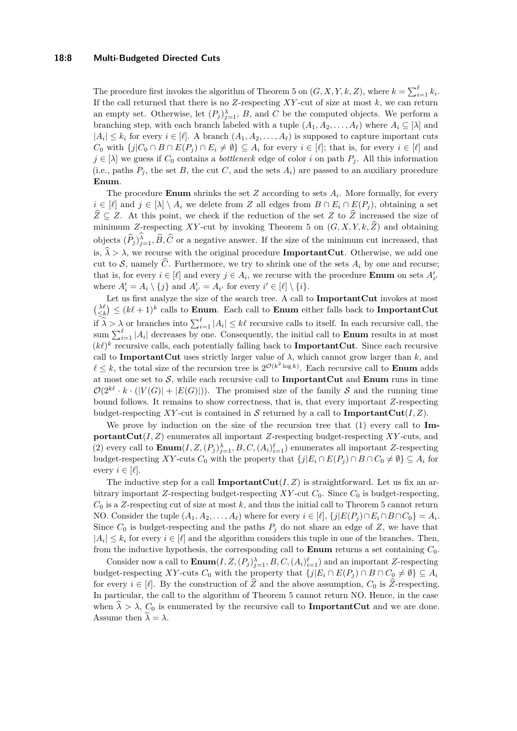#### **18:8 Multi-Budgeted Directed Cuts**

The procedure first invokes the algorithm of Theorem [5](#page-4-1) on  $(G, X, Y, k, Z)$ , where  $k = \sum_{i=1}^{\ell} k_i$ . If the call returned that there is no *Z*-respecting *XY* -cut of size at most *k*, we can return an empty set. Otherwise, let  $(P_j)_{j=1}^{\lambda}$ , *B*, and *C* be the computed objects. We perform a branching step, with each branch labeled with a tuple  $(A_1, A_2, \ldots, A_\ell)$  where  $A_i \subseteq [\lambda]$  and  $|A_i| \leq k_i$  for every  $i \in [\ell]$ . A branch  $(A_1, A_2, \ldots, A_\ell)$  is supposed to capture important cuts *C*<sub>0</sub> with  $\{j|C_0 \cap B \cap E(P_j) \cap E_i \neq \emptyset\}$  ⊆ *A<sub>i</sub>* for every  $i \in [\ell]$ ; that is, for every  $i \in [\ell]$  and  $j \in [\lambda]$  we guess if  $C_0$  contains a *bottleneck* edge of color *i* on path  $P_j$ . All this information (i.e., paths  $P_j$ , the set  $B$ , the cut  $C$ , and the sets  $A_i$ ) are passed to an auxiliary procedure **Enum**.

The procedure **Enum** shrinks the set  $Z$  according to sets  $A_i$ . More formally, for every *i* ∈ [ $\ell$ ] and  $j \in [\lambda] \setminus A_i$  we delete from *Z* all edges from  $B \cap E_i \cap E(P_i)$ , obtaining a set  $\hat{Z} \subseteq Z$ . At this point, we check if the reduction of the set *Z* to  $\hat{Z}$  increased the size of minimum *Z*-respecting *XY*-cut by invoking Theorem [5](#page-4-1) on  $(G, X, Y, k, \hat{Z})$  and obtaining objects  $(\widehat{P}_j)_{j=1}^{\lambda}, \widehat{B}, \widehat{C}$  or a negative answer. If the size of the minimum cut increased, that is,  $\hat{\lambda} > \lambda$ , we recurse with the original procedure **ImportantCut**. Otherwise, we add one cut to S, namely  $\widehat{C}$ . Furthermore, we try to shrink one of the sets  $A_i$  by one and recurse; that is, for every  $i \in [\ell]$  and every  $j \in A_i$ , we recurse with the procedure **Enum** on sets  $A'_{i'}$ where  $A'_i = A_i \setminus \{j\}$  and  $A'_{i'} = A_{i'}$  for every  $i' \in [\ell] \setminus \{i\}.$ 

Let us first analyze the size of the search tree. A call to **ImportantCut** invokes at most  $\binom{\lambda \ell}{\leq k} \leq (k\ell + 1)^k$  calls to **Enum**. Each call to **Enum** either falls back to **ImportantCut** if  $\hat{\lambda} > \lambda$  or branches into  $\sum_{i=1}^{\ell} |A_i| \leq k\ell$  recursive calls to itself. In each recursive call, the sum  $\sum_{i=1}^{\ell} |A_i|$  decreases by one. Consequently, the initial call to **Enum** results in at most  $(k\ell)^k$  recursive calls, each potentially falling back to **ImportantCut**. Since each recursive call to **ImportantCut** uses strictly larger value of  $\lambda$ , which cannot grow larger than  $k$ , and  $\ell \leq k$ , the total size of the recursion tree is  $2^{\mathcal{O}(k^2 \log k)}$ . Each recursive call to **Enum** adds at most one set to S, while each recursive call to **ImportantCut** and **Enum** runs in time  $\mathcal{O}(2^{k\ell} \cdot k \cdot (|V(G)| + |E(G)|))$ . The promised size of the family S and the running time bound follows. It remains to show correctness, that is, that every important *Z*-respecting budget-respecting *XY*-cut is contained in S returned by a call to **ImportantCut** $(I, Z)$ .

We prove by induction on the size of the recursion tree that (1) every call to **ImportantCut**(*I, Z*) enumerates all important *Z*-respecting budget-respecting *XY* -cuts, and (2) every call to  $\textbf{Enum}(I, Z, (P_j)_{j=1}^{\lambda}, B, C, (A_i)_{i=1}^{\ell})$  enumerates all important *Z*-respecting budget-respecting *XY*-cuts  $C_0$  with the property that  $\{j|E_i \cap E(P_j) \cap B \cap C_0 \neq \emptyset\} \subseteq A_i$  for every  $i \in [\ell]$ .

The inductive step for a call **ImportantCut**( $I, Z$ ) is straightforward. Let us fix an arbitrary important *Z*-respecting budget-respecting *XY* -cut *C*0. Since *C*<sup>0</sup> is budget-respecting, *C*<sup>0</sup> is a *Z*-respecting cut of size at most *k*, and thus the initial call to Theorem [5](#page-4-1) cannot return NO. Consider the tuple  $(A_1, A_2, \ldots, A_\ell)$  where for every  $i \in [\ell], \{j | E(P_j) \cap E_i \cap B \cap C_0\} = A_i$ . Since  $C_0$  is budget-respecting and the paths  $P_j$  do not share an edge of  $Z$ , we have that  $|A_i| \leq k_i$  for every  $i \in [\ell]$  and the algorithm considers this tuple in one of the branches. Then, from the inductive hypothesis, the corresponding call to **Enum** returns a set containing *C*0.

Consider now a call to  $\text{Enum}(I, Z, (P_j)_{j=1}^{\lambda}, B, C, (A_i)_{i=1}^{\ell})$  and an important *Z*-respecting budget-respecting *XY*-cuts  $C_0$  with the property that  $\{j|E_i \cap E(P_j) \cap B \cap C_0 \neq \emptyset\} \subseteq A_i$ for every  $i \in [\ell]$ . By the construction of  $\widehat{Z}$  and the above assumption,  $C_0$  is  $\widehat{Z}$ -respecting. In particular, the call to the algorithm of Theorem [5](#page-4-1) cannot return NO. Hence, in the case when  $\lambda > \lambda$ ,  $C_0$  is enumerated by the recursive call to **ImportantCut** and we are done. Assume then  $\hat{\lambda} = \lambda$ .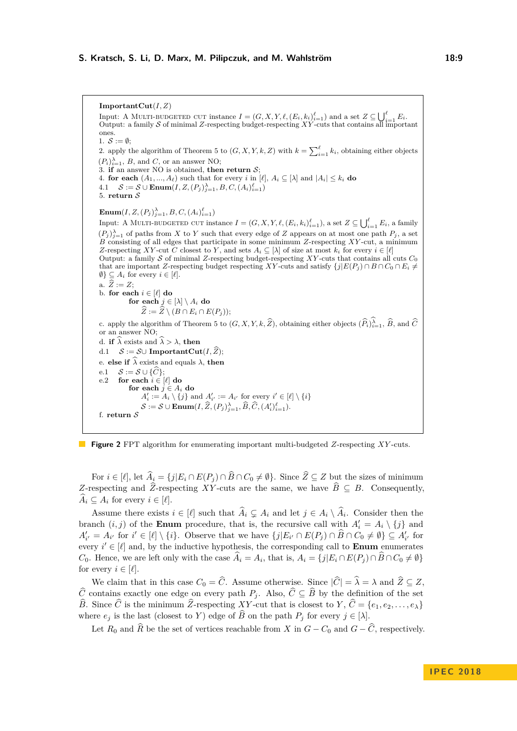<span id="page-8-0"></span>**ImportantCut**(*I, Z*) Input: A MULTI-BUDGETED CUT instance  $I = (G, X, Y, \ell, (E_i, k_i)_{i=1}^{\ell})$  and a set  $Z \subseteq \bigcup_{i=1}^{\ell} E_i$ .<br>Output: a family S of minimal Z-respecting budget-respecting XY-cuts that contains all important ones. 1.  $S := \emptyset$ ; 2. apply the algorithm of Theorem [5](#page-4-1) to  $(G, X, Y, k, Z)$  with  $k = \sum_{i=1}^{\ell} k_i$ , obtaining either objects  $(P_i)_{i=1}^{\lambda}, B$ , and *C*, or an answer NO; 3. **if** an answer NO is obtained, **then return**  $S$ ; 4. **for each**  $(A_1, ..., A_\ell)$  such that for every *i* in  $[\ell], A_i \subseteq [\lambda]$  and  $|A_i| \leq k_i$  do 4.1  $S := S \cup \textbf{Enum}(I, Z, (P_j)_{j=1}^{\lambda}, B, C, (A_i)_{i=1}^{\ell})$ 5. **return** S  $\textbf{Enum}(I, Z, (P_j)_{j=1}^{\lambda}, B, C, (A_i)_{i=1}^{\ell})$ Input: A MULTI-BUDGETED CUT instance  $I = (G, X, Y, \ell, (E_i, k_i)_{i=1}^{\ell}),$  a set  $Z \subseteq \bigcup_{i=1}^{\ell} E_i$ , a family  $(P_j)_{j=1}^{\lambda}$  of paths from *X* to *Y* such that every edge of *Z* appears on at most one path  $P_j$ , a set  $B$  consisting of all edges that participate in some minimum  $Z$ -respecting  $XY$ -cut, a minimum *Z*-respecting *XY*-cut *C* closest to *Y*, and sets  $A_i \subseteq [\lambda]$  of size at most  $k_i$  for every  $i \in [\ell]$ Output: a family S of minimal *Z*-respecting budget-respecting *XY* -cuts that contains all cuts *C*<sup>0</sup> that are important *Z*-respecting budget respecting *XY*-cuts and satisfy  $\{j|E(P_j) \cap B \cap C_0 \cap E_i \neq 0\}$  $\emptyset$ }  $\subseteq$  *A*<sub>*i*</sub> for every  $i \in [\ell]$ . a.  $\widehat{Z} := Z$ ; b. **for each**  $i \in [\ell]$  **do for each**  $j \in [\lambda] \setminus A_i$  **do**  $\widehat{Z} := \widehat{Z} \setminus (B \cap E_i \cap E(P_i));$ c. apply the algorithm of Theorem [5](#page-4-1) to  $(G, X, Y, k, \hat{Z})$ , obtaining either objects  $(\widehat{P}_i)_{i=1}^{\lambda}, \widehat{B}$ , and  $\widehat{C}$ or an answer NO; d. **if**  $\widehat{\lambda}$  exists and  $\widehat{\lambda} > \lambda$ , **then**<br>d.1  $S := S \cup$  **ImportantCut**  $\mathcal{S} := \mathcal{S} \cup \textbf{ImportantCut}(I, \widehat{Z});$ e. **else if**  $\hat{\lambda}$  exists and equals  $\lambda$ , **then**<br>**e.**  $\hat{\beta}$  =  $S \cup \{\hat{C}\}\$ : e.1  $S := S \cup {\hat{C}};$ <br>e.2 for each  $i \in {\hat{C}}$ for each  $i \in [\ell]$  do for each  $j \in A_i$  do  $A'_{i} := A_{i} \setminus \{j\}$  and  $A'_{i'} := A_{i'}$  for every  $i' \in [\ell] \setminus \{i\}$  $S := S \cup \textbf{Enum}(I, \widehat{Z}, (P_j)_{j=1}^{\lambda}, \widehat{B}, \widehat{C}, (A_i')_{i=1}^{\ell}).$ f. **return** S



For  $i \in [\ell]$ , let  $\widehat{A}_i = \{j | E_i \cap E(P_i) \cap \widehat{B} \cap C_0 \neq \emptyset\}$ . Since  $\widehat{Z} \subseteq Z$  but the sizes of minimum *Z*-respecting and  $\widehat{Z}$ -respecting *XY*-cuts are the same, we have  $\widehat{B} \subseteq B$ . Consequently,  $\widehat{A}_i \subseteq A_i$  for every  $i \in [\ell].$ 

Assume there exists  $i \in [\ell]$  such that  $\widehat{A}_i \subsetneq A_i$  and let  $j \in A_i \setminus \widehat{A}_i$ . Consider then the branch  $(i, j)$  of the **Enum** procedure, that is, the recursive call with  $A'_i = A_i \setminus \{j\}$  and  $A'_{i'} = A_{i'}$  for  $i' \in [\ell] \setminus \{i\}$ . Observe that we have  $\{j | E_{i'} \cap E(P_j) \cap \widehat{B} \cap C_0 \neq \emptyset\} \subseteq A'_{i'}$  for every  $i' \in [\ell]$  and, by the inductive hypothesis, the corresponding call to **Enum** enumerates *C*<sub>0</sub>. Hence, we are left only with the case  $A_i = A_i$ , that is,  $A_i = \{j | E_i \cap E(P_j) \cap B \cap C_0 \neq \emptyset\}$ for every  $i \in [\ell]$ .

We claim that in this case  $C_0 = \hat{C}$ . Assume otherwise. Since  $|\hat{C}| = \hat{\lambda} = \lambda$  and  $\hat{Z} \subseteq Z$ , *C* contains exactly one edge on every path *P*<sup>*j*</sup>. Also,  $\hat{C}$  ⊆  $\hat{B}$  by the definition of the set *B*. Since  $\widehat{C}$  is the minimum  $\widehat{Z}$ -respecting *XY*-cut that is closest to *Y*,  $\widehat{C} = \{e_1, e_2, \ldots, e_\lambda\}$ where  $e_j$  is the last (closest to *Y*) edge of  $\widehat{B}$  on the path  $P_j$  for every  $j \in [\lambda]$ .

Let  $R_0$  and  $\hat{R}$  be the set of vertices reachable from *X* in  $G - C_0$  and  $G - \hat{C}$ , respectively.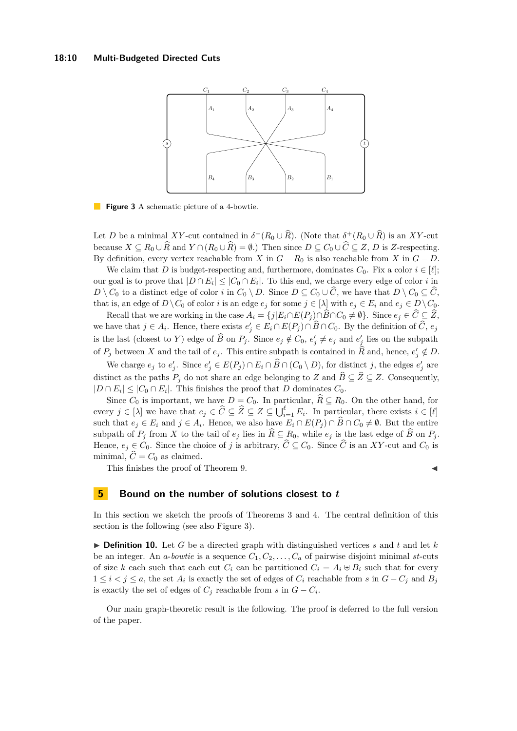<span id="page-9-1"></span>

**Figure 3** A schematic picture of a 4-bowtie.

Let *D* be a minimal *XY*-cut contained in  $\delta^+(R_0 \cup \widehat{R})$ . (Note that  $\delta^+(R_0 \cup \widehat{R})$  is an *XY*-cut because  $X \subseteq R_0 \cup \widehat{R}$  and  $Y \cap (R_0 \cup \widehat{R}) = \emptyset$ .) Then since  $D \subseteq C_0 \cup \widehat{C} \subseteq Z$ , *D* is *Z*-respecting. By definition, every vertex reachable from *X* in  $G - R_0$  is also reachable from *X* in  $G - D$ .

We claim that *D* is budget-respecting and, furthermore, dominates  $C_0$ . Fix a color  $i \in [\ell];$ our goal is to prove that  $|D \cap E_i| \leq |C_0 \cap E_i|$ . To this end, we charge every edge of color *i* in *D* \ *C*<sub>0</sub> to a distinct edge of color *i* in  $C_0 \setminus D$ . Since  $D \subseteq C_0 \cup C$ , we have that  $D \setminus C_0 \subseteq C$ , that is, an edge of  $D \setminus C_0$  of color *i* is an edge  $e_j$  for some  $j \in [\lambda]$  with  $e_j \in E_i$  and  $e_j \in D \setminus C_0$ .

Recall that we are working in the case  $A_i = \{j | E_i \cap E(P_j) \cap B \cap C_0 \neq \emptyset\}$ . Since  $e_j \in \widehat{C} \subseteq \widehat{Z}$ , we have that  $j \in A_i$ . Hence, there exists  $e'_j \in E_i \cap E(P_j) \cap \widehat{B} \cap C_0$ . By the definition of  $\widehat{C}$ ,  $e_j$ is the last (closest to *Y*) edge of  $\widehat{B}$  on  $P_j$ . Since  $e_j \notin C_0$ ,  $e'_j \neq e_j$  and  $e'_j$  lies on the subpath of  $P_j$  between *X* and the tail of  $e_j$ . This entire subpath is contained in  $\widehat{R}$  and, hence,  $e'_j \notin D$ .

We charge  $e_j$  to  $e'_j$ . Since  $e'_j \in E(P_j) \cap E_i \cap \widehat{B} \cap (C_0 \setminus D)$ , for distinct *j*, the edges  $e'_j$  are distinct as the paths  $P_j$  do not share an edge belonging to *Z* and  $\hat{B} \subseteq \hat{Z} \subseteq Z$ . Consequently,  $|D \cap E_i| \leq |C_0 \cap E_i|$ . This finishes the proof that *D* dominates  $C_0$ .

Since  $C_0$  is important, we have  $D = C_0$ . In particular,  $\hat{R} \subseteq R_0$ . On the other hand, for every  $j \in [\lambda]$  we have that  $e_j \in \widehat{C} \subseteq \widehat{Z} \subseteq Z \subseteq \bigcup_{i=1}^{\ell} E_i$ . In particular, there exists  $i \in [\ell]$ such that  $e_j \in E_i$  and  $j \in A_i$ . Hence, we also have  $E_i \cap E(P_j) \cap B \cap C_0 \neq \emptyset$ . But the entire subpath of  $P_j$  from X to the tail of  $e_j$  lies in  $\widehat{R} \subseteq R_0$ , while  $e_j$  is the last edge of  $\widehat{B}$  on  $P_j$ . Hence,  $e_j \in C_0$ . Since the choice of *j* is arbitrary,  $\hat{C} \subseteq C_0$ . Since  $\hat{C}$  is an *XY*-cut and  $C_0$  is minimal,  $\hat{C} = C_0$  as claimed.

This finishes the proof of Theorem [9.](#page-6-1)

#### <span id="page-9-0"></span>**5 Bound on the number of solutions closest to** *t*

In this section we sketch the proofs of Theorems [3](#page-3-2) and [4.](#page-3-3) The central definition of this section is the following (see also Figure [3\)](#page-9-1).

 $\triangleright$  **Definition 10.** Let *G* be a directed graph with distinguished vertices *s* and *t* and let *k* be an integer. An *a*-*bowtie* is a sequence  $C_1, C_2, \ldots, C_a$  of pairwise disjoint minimal *st*-cuts of size *k* each such that each cut  $C_i$  can be partitioned  $C_i = A_i \oplus B_i$  such that for every  $1 \leq i < j \leq a$ , the set  $A_i$  is exactly the set of edges of  $C_i$  reachable from  $s$  in  $G - C_j$  and  $B_j$ is exactly the set of edges of  $C_j$  reachable from  $s$  in  $G - C_i$ .

Our main graph-theoretic result is the following. The proof is deferred to the full version of the paper.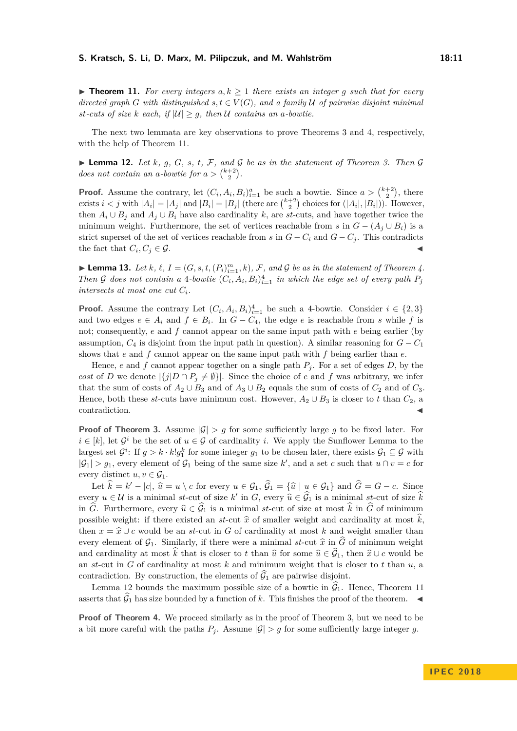<span id="page-10-0"></span>▶ **Theorem 11.** For every integers  $a, k \ge 1$  there exists an integer g such that for every *directed graph G* with distinguished  $s, t \in V(G)$ , and a family U of pairwise disjoint minimal *st-cuts of size k each, if*  $|U| \geq g$ *, then U contains an a-bowtie.* 

The next two lemmata are key observations to prove Theorems [3](#page-3-2) and [4,](#page-3-3) respectively, with the help of Theorem [11.](#page-10-0)

<span id="page-10-1"></span> $\triangleright$  **Lemma 12.** Let *k*, *g*, *G*, *s*, *t*, *F*, and *G* be as in the statement of Theorem [3.](#page-3-2) Then *G does not contain an a-bowtie for*  $a > \binom{k+2}{2}$ .

**Proof.** Assume the contrary, let  $(C_i, A_i, B_i)_{i=1}^a$  be such a bowtie. Since  $a > \binom{k+2}{2}$ , there exists  $i < j$  with  $|A_i| = |A_j|$  and  $|B_i| = |B_j|$  (there are  $\binom{k+2}{2}$  choices for  $(|A_i|, |B_i|)$ ). However, then  $A_i \cup B_j$  and  $A_j \cup B_i$  have also cardinality *k*, are *st*-cuts, and have together twice the minimum weight. Furthermore, the set of vertices reachable from *s* in  $G - (A_i \cup B_i)$  is a strict superset of the set of vertices reachable from *s* in  $G - C_i$  and  $G - C_j$ . This contradicts the fact that  $C_i, C_j \in \mathcal{G}$ .

<span id="page-10-2"></span>**Example 13.** Let  $k$ ,  $\ell$ ,  $I = (G, s, t, (P_i)_{i=1}^m, k)$ ,  $\mathcal{F}$ , and  $\mathcal{G}$  be as in the statement of Theorem [4.](#page-3-3) *Then* G does not contain a 4-bowtie  $(C_i, A_i, B_i)_{i=1}^4$  in which the edge set of every path  $P_j$ *intersects at most one cut*  $C_i$ *.* 

**Proof.** Assume the contrary Let  $(C_i, A_i, B_i)_{i=1}^4$  be such a 4-bowtie. Consider  $i \in \{2,3\}$ and two edges  $e \in A_i$  and  $f \in B_i$ . In  $G - C_4$ , the edge  $e$  is reachable from *s* while  $f$  is not; consequently, *e* and *f* cannot appear on the same input path with *e* being earlier (by assumption,  $C_4$  is disjoint from the input path in question). A similar reasoning for  $G - C_1$ shows that *e* and *f* cannot appear on the same input path with *f* being earlier than *e*.

Hence, *e* and *f* cannot appear together on a single path  $P_j$ . For a set of edges *D*, by the *cost* of *D* we denote  $|\{j|D \cap P_j \neq \emptyset\}|$ . Since the choice of *e* and *f* was arbitrary, we infer that the sum of costs of  $A_2 \cup B_3$  and of  $A_3 \cup B_2$  equals the sum of costs of  $C_2$  and of  $C_3$ . Hence, both these *st*-cuts have minimum cost. However,  $A_2 \cup B_3$  is closer to *t* than  $C_2$ , a contradiction.

**Proof of Theorem [3.](#page-3-2)** Assume  $|G| > g$  for some sufficiently large g to be fixed later. For  $i \in [k]$ , let  $\mathcal{G}^i$  be the set of  $u \in \mathcal{G}$  of cardinality *i*. We apply the Sunflower Lemma to the largest set  $G^i$ : If  $g > k \cdot k! g_1^k$  for some integer  $g_1$  to be chosen later, there exists  $G_1 \subseteq G$  with  $|\mathcal{G}_1| > g_1$ , every element of  $\mathcal{G}_1$  being of the same size k', and a set c such that  $u \cap v = c$  for every distinct  $u, v \in \mathcal{G}_1$ .

Let  $\hat{k} = k' - |c|$ ,  $\hat{u} = u \setminus c$  for every  $u \in \mathcal{G}_1$ ,  $\hat{\mathcal{G}}_1 = {\hat{u} \mid u \in \mathcal{G}_1}$  and  $\hat{G} = G - c$ . Since every  $u \in \mathcal{U}$  is a minimal *st*-cut of size  $k'$  in  $G$ , every  $\widehat{u} \in \widehat{G}$  is a minimal *st*-cut of size  $\widehat{k}$ <br>in  $\widehat{G}$ . Euch among system  $\widehat{u} \in \widehat{G}$ , is a minimal st sut of size at most  $\widehat{k}$  in  $\wide$ in  $\widehat{G}$ . Furthermore, every  $\widehat{u} \in \widehat{\mathcal{G}}_1$  is a minimal *st*-cut of size at most  $\widehat{k}$  in  $\widehat{G}$  of minimum possible weight: if there existed an *st*-cut  $\hat{x}$  of smaller weight and cardinality at most  $\hat{k}$ , then  $x = \hat{x} \cup c$  would be an *st*-cut in *G* of cardinality at most *k* and weight smaller than every element of  $\mathcal{G}_1$ . Similarly, if there were a minimal *st*-cut  $\hat{x}$  in  $\hat{G}$  of minimum weight and cardinality at most  $\hat{k}$  that is closer to *t* than  $\hat{u}$  for some  $\hat{u} \in \hat{\mathcal{G}}_1$ , then  $\hat{x} \cup c$  would be an *st*-cut in *G* of cardinality at most *k* and minimum weight that is closer to *t* than *u*, a contradiction. By construction, the elements of  $\widehat{G}_1$  are pairwise disjoint.

Lemma [12](#page-10-1) bounds the maximum possible size of a bowtie in  $\hat{G}_1$ . Hence, Theorem [11](#page-10-0) asserts that  $\widehat{G}_1$  has size bounded by a function of *k*. This finishes the proof of the theorem.

**Proof of Theorem [4.](#page-3-3)** We proceed similarly as in the proof of Theorem [3,](#page-3-2) but we need to be a bit more careful with the paths  $P_j$ . Assume  $|\mathcal{G}| > g$  for some sufficiently large integer g.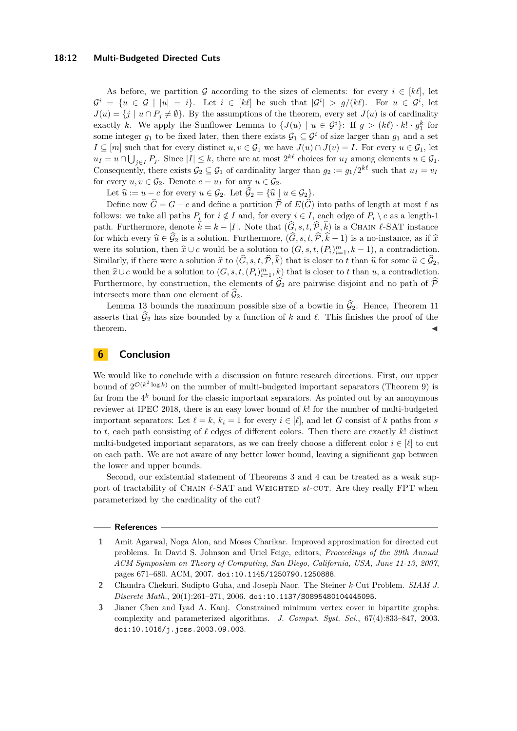#### **18:12 Multi-Budgeted Directed Cuts**

As before, we partition G according to the sizes of elements: for every  $i \in [k\ell]$ , let  $\mathcal{G}^i = \{u \in \mathcal{G} \mid |u| = i\}.$  Let  $i \in [k\ell]$  be such that  $|\mathcal{G}^i| > g/(k\ell).$  For  $u \in \mathcal{G}^i$ , let  $J(u) = \{j \mid u \cap P_j \neq \emptyset\}$ . By the assumptions of the theorem, every set  $J(u)$  is of cardinality exactly *k*. We apply the Sunflower Lemma to  $\{J(u) \mid u \in \mathcal{G}^i\}$ : If  $g > (k\ell) \cdot k! \cdot g_1^k$  for some integer  $g_1$  to be fixed later, then there exists  $\mathcal{G}_1 \subseteq \mathcal{G}^i$  of size larger than  $g_1$  and a set *I* ⊆ [*m*] such that for every distinct *u, v* ∈  $\mathcal{G}_1$  we have  $J(u) \cap J(v) = I$ . For every *u* ∈  $\mathcal{G}_1$ , let  $u_I = u \cap \bigcup_{j \in I} P_j$ . Since  $|I| \leq k$ , there are at most  $2^{k\ell}$  choices for  $u_I$  among elements  $u \in \mathcal{G}_1$ . Consequently, there exists  $\mathcal{G}_2 \subseteq \mathcal{G}_1$  of cardinality larger than  $g_2 := g_1/2^{k\ell}$  such that  $u_I = v_I$ for every  $u, v \in \mathcal{G}_2$ . Denote  $c = u_I$  for any  $u \in \mathcal{G}_2$ .

Let  $\hat{u} := u - c$  for every  $u \in \mathcal{G}_2$ . Let  $\hat{\mathcal{G}}_2 = {\hat{u} \mid u \in \mathcal{G}_2}.$ 

Define now  $\widehat{G} = G - c$  and define a partition  $\widehat{\mathcal{P}}$  of  $E(\widehat{G})$  into paths of length at most  $\ell$  as follows: we take all paths  $P_i$  for  $i \notin I$  and, for every  $i \in I$ , each edge of  $P_i \setminus c$  as a length-1 path. Furthermore, denote  $\hat{k} = k - |I|$ . Note that  $(\hat{G}, s, t, \hat{\mathcal{P}}, \hat{k})$  is a CHAIN  $\ell$ -SAT instance for which every  $\hat{u} \in \hat{\mathcal{G}}_2$  is a solution. Furthermore,  $(\hat{G}, s, t, \hat{\mathcal{P}}, \hat{k} - 1)$  is a no-instance, as if  $\hat{x}$ were its solution, then  $\hat{x} \cup c$  would be a solution to  $(G, s, t, (P_i)_{i=1}^m, k-1)$ , a contradiction. Similarly, if there were a solution  $\hat{x}$  to  $(\hat{G}, s, t, \hat{\mathcal{P}}, \hat{k})$  that is closer to *t* than  $\hat{u}$  for some  $\hat{u} \in \mathcal{G}_2$ , then  $\hat{x} \cup c$  would be a solution to  $(G, s, t, (P_i)^m_{i=1}, k)$  that is closer to *t* than *u*, a contradiction. Furthermore, by construction, the elements of  $\hat{\mathcal{G}}_2$  are pairwise disjoint and no path of  $\hat{\mathcal{P}}$ intersects more than one element of  $\mathcal{G}_2$ .

Lemma [13](#page-10-2) bounds the maximum possible size of a bowtie in  $\hat{\mathcal{G}}_2$ . Hence, Theorem [11](#page-10-0) asserts that  $\hat{G}_2$  has size bounded by a function of *k* and  $\ell$ . This finishes the proof of the theorem.  $\blacksquare$  theorem.

## **6 Conclusion**

We would like to conclude with a discussion on future research directions. First, our upper bound of  $2^{\mathcal{O}(k^2 \log k)}$  on the number of multi-budgeted important separators (Theorem [9\)](#page-6-1) is far from the 4 *<sup>k</sup>* bound for the classic important separators. As pointed out by an anonymous reviewer at IPEC 2018, there is an easy lower bound of *k*! for the number of multi-budgeted important separators: Let  $\ell = k$ ,  $k_i = 1$  for every  $i \in [\ell]$ , and let *G* consist of *k* paths from *s* to  $t$ , each path consisting of  $\ell$  edges of different colors. Then there are exactly  $k!$  distinct multi-budgeted important separators, as we can freely choose a different color  $i \in [\ell]$  to cut on each path. We are not aware of any better lower bound, leaving a significant gap between the lower and upper bounds.

Second, our existential statement of Theorems [3](#page-3-2) and [4](#page-3-3) can be treated as a weak support of tractability of CHAIN  $\ell$ -SAT and WEIGHTED *st*-CUT. Are they really FPT when parameterized by the cardinality of the cut?

#### **References**

- <span id="page-11-0"></span>**1** Amit Agarwal, Noga Alon, and Moses Charikar. Improved approximation for directed cut problems. In David S. Johnson and Uriel Feige, editors, *Proceedings of the 39th Annual ACM Symposium on Theory of Computing, San Diego, California, USA, June 11-13, 2007*, pages 671–680. ACM, 2007. [doi:10.1145/1250790.1250888](http://dx.doi.org/10.1145/1250790.1250888).
- <span id="page-11-1"></span>**2** Chandra Chekuri, Sudipto Guha, and Joseph Naor. The Steiner *k*-Cut Problem. *SIAM J. Discrete Math.*, 20(1):261–271, 2006. [doi:10.1137/S0895480104445095](http://dx.doi.org/10.1137/S0895480104445095).
- <span id="page-11-2"></span>**3** Jianer Chen and Iyad A. Kanj. Constrained minimum vertex cover in bipartite graphs: complexity and parameterized algorithms. *J. Comput. Syst. Sci.*, 67(4):833–847, 2003. [doi:10.1016/j.jcss.2003.09.003](http://dx.doi.org/10.1016/j.jcss.2003.09.003).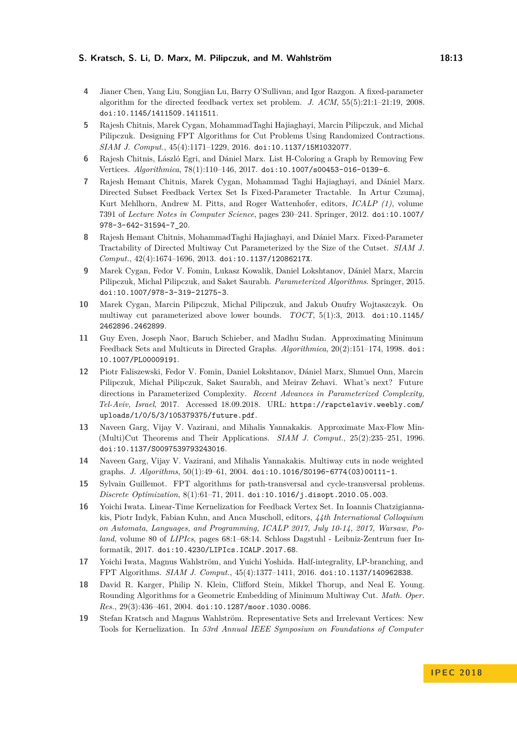- <span id="page-12-4"></span>**4** Jianer Chen, Yang Liu, Songjian Lu, Barry O'Sullivan, and Igor Razgon. A fixed-parameter algorithm for the directed feedback vertex set problem. *J. ACM*, 55(5):21:1–21:19, 2008. [doi:10.1145/1411509.1411511](http://dx.doi.org/10.1145/1411509.1411511).
- <span id="page-12-7"></span>**5** Rajesh Chitnis, Marek Cygan, MohammadTaghi Hajiaghayi, Marcin Pilipczuk, and Michal Pilipczuk. Designing FPT Algorithms for Cut Problems Using Randomized Contractions. *SIAM J. Comput.*, 45(4):1171–1229, 2016. [doi:10.1137/15M1032077](http://dx.doi.org/10.1137/15M1032077).
- <span id="page-12-14"></span>**6** Rajesh Chitnis, László Egri, and Dániel Marx. List H-Coloring a Graph by Removing Few Vertices. *Algorithmica*, 78(1):110–146, 2017. [doi:10.1007/s00453-016-0139-6](http://dx.doi.org/10.1007/s00453-016-0139-6).
- <span id="page-12-12"></span>**7** Rajesh Hemant Chitnis, Marek Cygan, Mohammad Taghi Hajiaghayi, and Dániel Marx. Directed Subset Feedback Vertex Set Is Fixed-Parameter Tractable. In Artur Czumaj, Kurt Mehlhorn, Andrew M. Pitts, and Roger Wattenhofer, editors, *ICALP (1)*, volume 7391 of *Lecture Notes in Computer Science*, pages 230–241. Springer, 2012. [doi:10.1007/](http://dx.doi.org/10.1007/978-3-642-31594-7_20) [978-3-642-31594-7\\_20](http://dx.doi.org/10.1007/978-3-642-31594-7_20).
- <span id="page-12-6"></span>**8** Rajesh Hemant Chitnis, MohammadTaghi Hajiaghayi, and Dániel Marx. Fixed-Parameter Tractability of Directed Multiway Cut Parameterized by the Size of the Cutset. *SIAM J. Comput.*, 42(4):1674–1696, 2013. [doi:10.1137/12086217X](http://dx.doi.org/10.1137/12086217X).
- <span id="page-12-15"></span>**9** Marek Cygan, Fedor V. Fomin, Lukasz Kowalik, Daniel Lokshtanov, Dániel Marx, Marcin Pilipczuk, Michal Pilipczuk, and Saket Saurabh. *Parameterized Algorithms*. Springer, 2015. [doi:10.1007/978-3-319-21275-3](http://dx.doi.org/10.1007/978-3-319-21275-3).
- <span id="page-12-8"></span>**10** Marek Cygan, Marcin Pilipczuk, Michal Pilipczuk, and Jakub Onufry Wojtaszczyk. On multiway cut parameterized above lower bounds. *TOCT*, 5(1):3, 2013. [doi:10.1145/](http://dx.doi.org/10.1145/2462896.2462899) [2462896.2462899](http://dx.doi.org/10.1145/2462896.2462899).
- <span id="page-12-0"></span>**11** Guy Even, Joseph Naor, Baruch Schieber, and Madhu Sudan. Approximating Minimum Feedback Sets and Multicuts in Directed Graphs. *Algorithmica*, 20(2):151–174, 1998. [doi:](http://dx.doi.org/10.1007/PL00009191) [10.1007/PL00009191](http://dx.doi.org/10.1007/PL00009191).
- <span id="page-12-13"></span>**12** Piotr Faliszewski, Fedor V. Fomin, Daniel Lokshtanov, Dániel Marx, Shmuel Onn, Marcin Pilipczuk, Michał Pilipczuk, Saket Saurabh, and Meirav Zehavi. What's next? Future directions in Parameterized Complexity. *Recent Advances in Parameterized Complexity, Tel-Aviv, Israel*, 2017. Accessed 18.09.2018. URL: [https://rapctelaviv.weebly.com/](https://rapctelaviv.weebly.com/uploads/1/0/5/3/105379375/future.pdf) [uploads/1/0/5/3/105379375/future.pdf](https://rapctelaviv.weebly.com/uploads/1/0/5/3/105379375/future.pdf).
- <span id="page-12-1"></span>**13** Naveen Garg, Vijay V. Vazirani, and Mihalis Yannakakis. Approximate Max-Flow Min- (Multi)Cut Theorems and Their Applications. *SIAM J. Comput.*, 25(2):235–251, 1996. [doi:10.1137/S0097539793243016](http://dx.doi.org/10.1137/S0097539793243016).
- <span id="page-12-2"></span>**14** Naveen Garg, Vijay V. Vazirani, and Mihalis Yannakakis. Multiway cuts in node weighted graphs. *J. Algorithms*, 50(1):49–61, 2004. [doi:10.1016/S0196-6774\(03\)00111-1](http://dx.doi.org/10.1016/S0196-6774(03)00111-1).
- <span id="page-12-9"></span>**15** Sylvain Guillemot. FPT algorithms for path-transversal and cycle-transversal problems. *Discrete Optimization*, 8(1):61–71, 2011. [doi:10.1016/j.disopt.2010.05.003](http://dx.doi.org/10.1016/j.disopt.2010.05.003).
- <span id="page-12-10"></span>**16** Yoichi Iwata. Linear-Time Kernelization for Feedback Vertex Set. In Ioannis Chatzigiannakis, Piotr Indyk, Fabian Kuhn, and Anca Muscholl, editors, *44th International Colloquium on Automata, Languages, and Programming, ICALP 2017, July 10-14, 2017, Warsaw, Poland*, volume 80 of *LIPIcs*, pages 68:1–68:14. Schloss Dagstuhl - Leibniz-Zentrum fuer Informatik, 2017. [doi:10.4230/LIPIcs.ICALP.2017.68](http://dx.doi.org/10.4230/LIPIcs.ICALP.2017.68).
- <span id="page-12-11"></span>**17** Yoichi Iwata, Magnus Wahlström, and Yuichi Yoshida. Half-integrality, LP-branching, and FPT Algorithms. *SIAM J. Comput.*, 45(4):1377–1411, 2016. [doi:10.1137/140962838](http://dx.doi.org/10.1137/140962838).
- <span id="page-12-3"></span>**18** David R. Karger, Philip N. Klein, Clifford Stein, Mikkel Thorup, and Neal E. Young. Rounding Algorithms for a Geometric Embedding of Minimum Multiway Cut. *Math. Oper. Res.*, 29(3):436–461, 2004. [doi:10.1287/moor.1030.0086](http://dx.doi.org/10.1287/moor.1030.0086).
- <span id="page-12-5"></span>**19** Stefan Kratsch and Magnus Wahlström. Representative Sets and Irrelevant Vertices: New Tools for Kernelization. In *53rd Annual IEEE Symposium on Foundations of Computer*